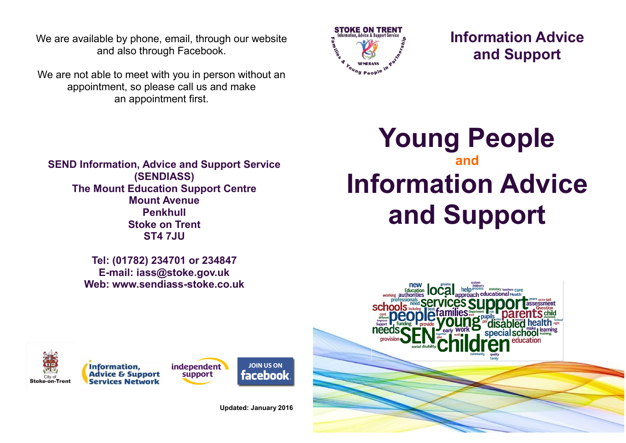We are available by phone, email, through our website and also through Facebook.

We are not able to meet with you in person without an appointment, so please call us and make an appointment first.



**Information Advice and Support**

**SEND Information, Advice and Support Service (SENDIASS) The Mount Education Support Centre Mount Avenue Penkhull Stoke on Trent ST4 7JU**

> **Tel: (01782) 234701 or 234847 E-mail: iass@stoke.gov.uk Web: www.sendiass-stoke.co.uk**

## **Young People and Information Advice and Support**







**Updated: January 2016**